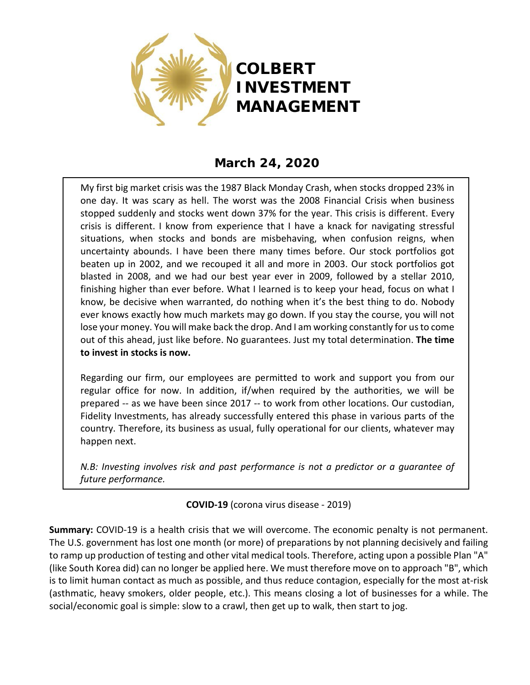

# **March 24, 2020**

My first big market crisis was the 1987 Black Monday Crash, when stocks dropped 23% in one day. It was scary as hell. The worst was the 2008 Financial Crisis when business stopped suddenly and stocks went down 37% for the year. This crisis is different. Every crisis is different. I know from experience that I have a knack for navigating stressful situations, when stocks and bonds are misbehaving, when confusion reigns, when uncertainty abounds. I have been there many times before. Our stock portfolios got beaten up in 2002, and we recouped it all and more in 2003. Our stock portfolios got blasted in 2008, and we had our best year ever in 2009, followed by a stellar 2010, finishing higher than ever before. What I learned is to keep your head, focus on what I know, be decisive when warranted, do nothing when it's the best thing to do. Nobody ever knows exactly how much markets may go down. If you stay the course, you will not lose your money. You will make back the drop. And I am working constantly for us to come out of this ahead, just like before. No guarantees. Just my total determination. **The time to invest in stocks is now.** 

Regarding our firm, our employees are permitted to work and support you from our regular office for now. In addition, if/when required by the authorities, we will be prepared -- as we have been since 2017 -- to work from other locations. Our custodian, Fidelity Investments, has already successfully entered this phase in various parts of the country. Therefore, its business as usual, fully operational for our clients, whatever may happen next.

*N.B: Investing involves risk and past performance is not a predictor or a guarantee of future performance.*

## **COVID-19** (corona virus disease - 2019)

**Summary:** COVID-19 is a health crisis that we will overcome. The economic penalty is not permanent. The U.S. government has lost one month (or more) of preparations by not planning decisively and failing to ramp up production of testing and other vital medical tools. Therefore, acting upon a possible Plan "A" (like South Korea did) can no longer be applied here. We must therefore move on to approach "B", which is to limit human contact as much as possible, and thus reduce contagion, especially for the most at-risk (asthmatic, heavy smokers, older people, etc.). This means closing a lot of businesses for a while. The social/economic goal is simple: slow to a crawl, then get up to walk, then start to jog.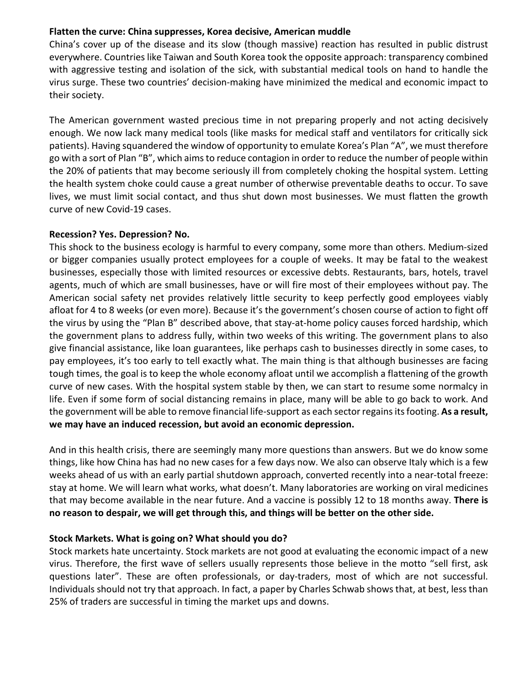### **Flatten the curve: China suppresses, Korea decisive, American muddle**

China's cover up of the disease and its slow (though massive) reaction has resulted in public distrust everywhere. Countries like Taiwan and South Korea took the opposite approach: transparency combined with aggressive testing and isolation of the sick, with substantial medical tools on hand to handle the virus surge. These two countries' decision-making have minimized the medical and economic impact to their society.

The American government wasted precious time in not preparing properly and not acting decisively enough. We now lack many medical tools (like masks for medical staff and ventilators for critically sick patients). Having squandered the window of opportunity to emulate Korea's Plan "A", we must therefore go with a sort of Plan "B", which aims to reduce contagion in order to reduce the number of people within the 20% of patients that may become seriously ill from completely choking the hospital system. Letting the health system choke could cause a great number of otherwise preventable deaths to occur. To save lives, we must limit social contact, and thus shut down most businesses. We must flatten the growth curve of new Covid-19 cases.

#### **Recession? Yes. Depression? No.**

This shock to the business ecology is harmful to every company, some more than others. Medium-sized or bigger companies usually protect employees for a couple of weeks. It may be fatal to the weakest businesses, especially those with limited resources or excessive debts. Restaurants, bars, hotels, travel agents, much of which are small businesses, have or will fire most of their employees without pay. The American social safety net provides relatively little security to keep perfectly good employees viably afloat for 4 to 8 weeks (or even more). Because it's the government's chosen course of action to fight off the virus by using the "Plan B" described above, that stay-at-home policy causes forced hardship, which the government plans to address fully, within two weeks of this writing. The government plans to also give financial assistance, like loan guarantees, like perhaps cash to businesses directly in some cases, to pay employees, it's too early to tell exactly what. The main thing is that although businesses are facing tough times, the goal is to keep the whole economy afloat until we accomplish a flattening of the growth curve of new cases. With the hospital system stable by then, we can start to resume some normalcy in life. Even if some form of social distancing remains in place, many will be able to go back to work. And the government will be able to remove financial life-support as each sector regains its footing. **As a result, we may have an induced recession, but avoid an economic depression.**

And in this health crisis, there are seemingly many more questions than answers. But we do know some things, like how China has had no new cases for a few days now. We also can observe Italy which is a few weeks ahead of us with an early partial shutdown approach, converted recently into a near-total freeze: stay at home. We will learn what works, what doesn't. Many laboratories are working on viral medicines that may become available in the near future. And a vaccine is possibly 12 to 18 months away. **There is no reason to despair, we will get through this, and things will be better on the other side.**

## **Stock Markets. What is going on? What should you do?**

Stock markets hate uncertainty. Stock markets are not good at evaluating the economic impact of a new virus. Therefore, the first wave of sellers usually represents those believe in the motto "sell first, ask questions later". These are often professionals, or day-traders, most of which are not successful. Individuals should not try that approach. In fact, a paper by Charles Schwab shows that, at best, less than 25% of traders are successful in timing the market ups and downs.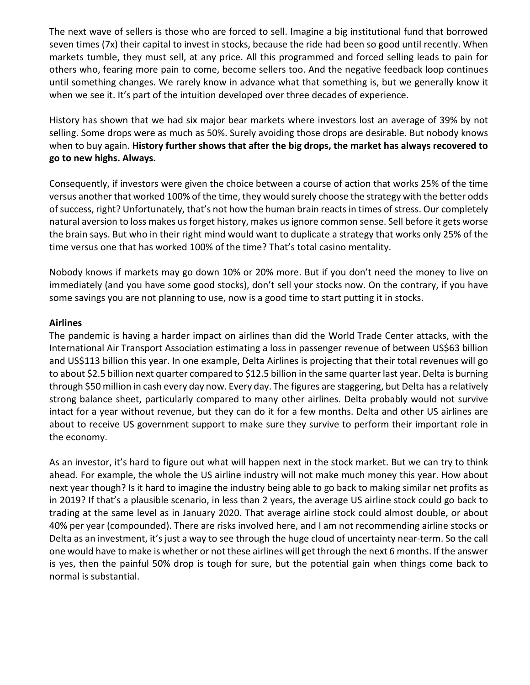The next wave of sellers is those who are forced to sell. Imagine a big institutional fund that borrowed seven times (7x) their capital to invest in stocks, because the ride had been so good until recently. When markets tumble, they must sell, at any price. All this programmed and forced selling leads to pain for others who, fearing more pain to come, become sellers too. And the negative feedback loop continues until something changes. We rarely know in advance what that something is, but we generally know it when we see it. It's part of the intuition developed over three decades of experience.

History has shown that we had six major bear markets where investors lost an average of 39% by not selling. Some drops were as much as 50%. Surely avoiding those drops are desirable. But nobody knows when to buy again. **History further shows that after the big drops, the market has always recovered to go to new highs. Always.**

Consequently, if investors were given the choice between a course of action that works 25% of the time versus another that worked 100% of the time, they would surely choose the strategy with the better odds of success, right? Unfortunately, that's not how the human brain reacts in times of stress. Our completely natural aversion to loss makes us forget history, makes us ignore common sense. Sell before it gets worse the brain says. But who in their right mind would want to duplicate a strategy that works only 25% of the time versus one that has worked 100% of the time? That's total casino mentality.

Nobody knows if markets may go down 10% or 20% more. But if you don't need the money to live on immediately (and you have some good stocks), don't sell your stocks now. On the contrary, if you have some savings you are not planning to use, now is a good time to start putting it in stocks.

#### **Airlines**

The pandemic is having a harder impact on airlines than did the World Trade Center attacks, with the International Air Transport Association estimating a loss in passenger revenue of between US\$63 billion and US\$113 billion this year. In one example, Delta Airlines is projecting that their total revenues will go to about \$2.5 billion next quarter compared to \$12.5 billion in the same quarter last year. Delta is burning through \$50 million in cash every day now. Every day. The figures are staggering, but Delta has a relatively strong balance sheet, particularly compared to many other airlines. Delta probably would not survive intact for a year without revenue, but they can do it for a few months. Delta and other US airlines are about to receive US government support to make sure they survive to perform their important role in the economy.

As an investor, it's hard to figure out what will happen next in the stock market. But we can try to think ahead. For example, the whole the US airline industry will not make much money this year. How about next year though? Is it hard to imagine the industry being able to go back to making similar net profits as in 2019? If that's a plausible scenario, in less than 2 years, the average US airline stock could go back to trading at the same level as in January 2020. That average airline stock could almost double, or about 40% per year (compounded). There are risks involved here, and I am not recommending airline stocks or Delta as an investment, it's just a way to see through the huge cloud of uncertainty near-term. So the call one would have to make is whether or not these airlines will get through the next 6 months. If the answer is yes, then the painful 50% drop is tough for sure, but the potential gain when things come back to normal is substantial.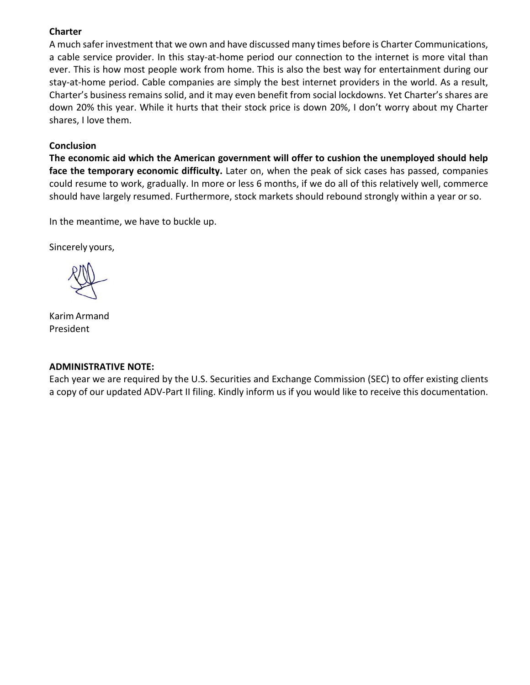#### **Charter**

A much safer investment that we own and have discussed many times before is Charter Communications, a cable service provider. In this stay-at-home period our connection to the internet is more vital than ever. This is how most people work from home. This is also the best way for entertainment during our stay-at-home period. Cable companies are simply the best internet providers in the world. As a result, Charter's business remains solid, and it may even benefit from social lockdowns. Yet Charter's shares are down 20% this year. While it hurts that their stock price is down 20%, I don't worry about my Charter shares, I love them.

#### **Conclusion**

**The economic aid which the American government will offer to cushion the unemployed should help face the temporary economic difficulty.** Later on, when the peak of sick cases has passed, companies could resume to work, gradually. In more or less 6 months, if we do all of this relatively well, commerce should have largely resumed. Furthermore, stock markets should rebound strongly within a year or so.

In the meantime, we have to buckle up.

Sincerely yours,

Karim Armand President

#### **ADMINISTRATIVE NOTE:**

Each year we are required by the U.S. Securities and Exchange Commission (SEC) to offer existing clients a copy of our updated ADV-Part II filing. Kindly inform us if you would like to receive this documentation.